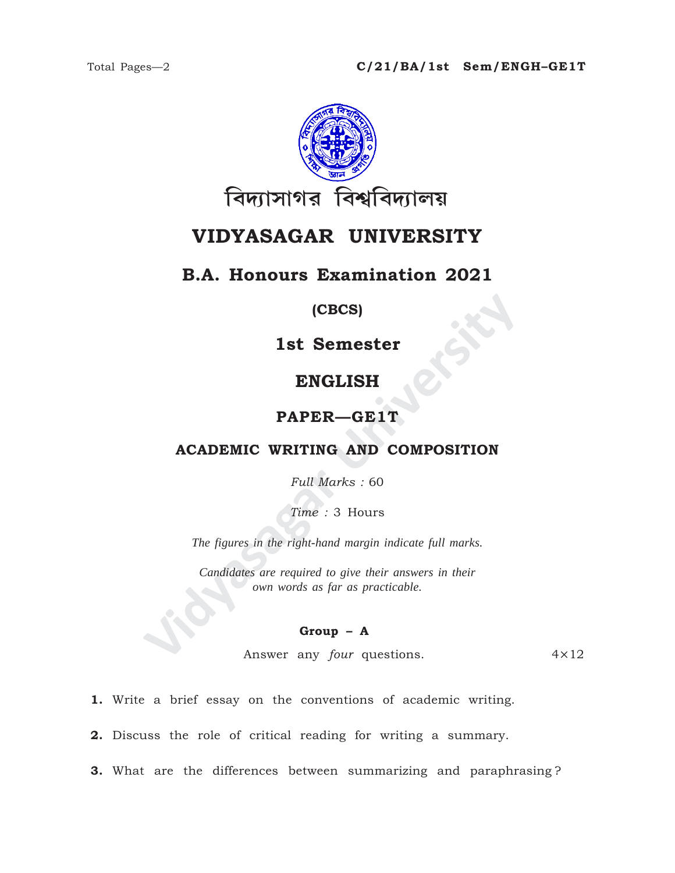

# VIDYASAGAR UNIVERSITY

## **B.A. Honours Examination 2021**

#### (CBCS)

## 1st Semester

## **ENGLISH**

### PAPER-GE1T

#### **ACADEMIC WRITING AND COMPOSITION**

Full Marks: 60

Time: 3 Hours

The figures in the right-hand margin indicate full marks.

Candidates are required to give their answers in their own words as far as practicable.

#### $Group - A$

Answer any four questions.  $4 \times 12$ 

1. Write a brief essay on the conventions of academic writing.

2. Discuss the role of critical reading for writing a summary.

3. What are the differences between summarizing and paraphrasing?